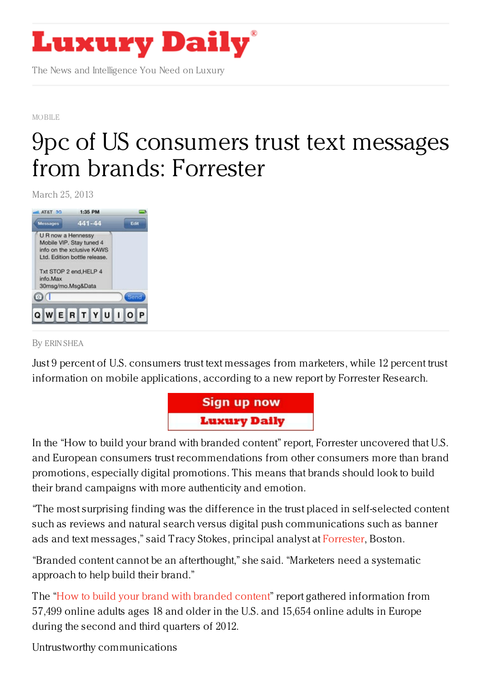

The News and Intelligence You Need on Luxury

[MOBILE](https://www.luxurydaily.com/category/news/mobile-news/)

## 9pc of US [consumers](https://www.luxurydaily.com/9pc-of-u-s-consumers-trust-text-messages-from-brands-forrester/) trust text messages from brands: Forrester

March 25, 2013



## By ERIN [SHEA](/author/erin-shea)

Just 9 percent of U.S. consumers trust text messages from marketers, while 12 percent trust information on mobile applications, according to a new report by Forrester Research.



In the "How to build your brand with branded content" report, Forrester uncovered that U.S. and European consumers trust recommendations from other consumers more than brand promotions, especially digital promotions. This means that brands should look to build their brand campaigns with more authenticity and emotion.

"The most surprising finding was the difference in the trust placed in self-selected content such as reviews and natural search versus digital push communications such as banner ads and text messages," said Tracy Stokes, principal analyst at [Forrester](http://www.forrester.com), Boston.

"Branded content cannot be an afterthought," she said. "Marketers need a systematic approach to help build their brand."

The "How to build your brand with [branded](http://www.forrester.com/How+To+Build+Your+Brand+With+Branded+Content/fulltext/-/E-RES92961) content" report gathered information from 57,499 online adults ages 18 and older in the U.S. and 15,654 online adults in Europe during the second and third quarters of 2012.

Untrustworthy communications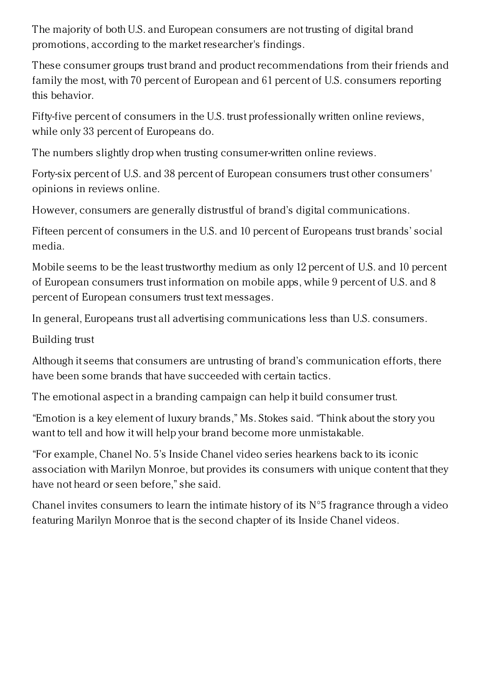The majority of both U.S. and European consumers are not trusting of digital brand promotions, according to the market researcher's findings.

These consumer groups trust brand and product recommendations from their friends and family the most, with 70 percent of European and 61 percent of U.S. consumers reporting this behavior.

Fifty-five percent of consumers in the U.S. trust professionally written online reviews, while only 33 percent of Europeans do.

The numbers slightly drop when trusting consumer-written online reviews.

Forty-six percent of U.S. and 38 percent of European consumers trust other consumers' opinions in reviews online.

However, consumers are generally distrustful of brand's digital communications.

Fifteen percent of consumers in the U.S. and 10 percent of Europeans trust brands' social media.

Mobile seems to be the least trustworthy medium as only 12 percent of U.S. and 10 percent of European consumers trust information on mobile apps, while 9 percent of U.S. and 8 percent of European consumers trust text messages.

In general, Europeans trust all advertising communications less than U.S. consumers.

Building trust

Although it seems that consumers are untrusting of brand's communication efforts, there have been some brands that have succeeded with certain tactics.

The emotional aspect in a branding campaign can help it build consumer trust.

"Emotion is a key element of luxury brands," Ms. Stokes said. "Think about the story you want to tell and how it will help your brand become more unmistakable.

"For example, Chanel No. 5's Inside Chanel video series hearkens back to its iconic association with Marilyn Monroe, but provides its consumers with unique content that they have not heard or seen before," she said.

Chanel invites consumers to learn the intimate history of its  $N^{\circ}5$  fragrance through a video featuring Marilyn Monroe that is the second chapter of its Inside Chanel videos.